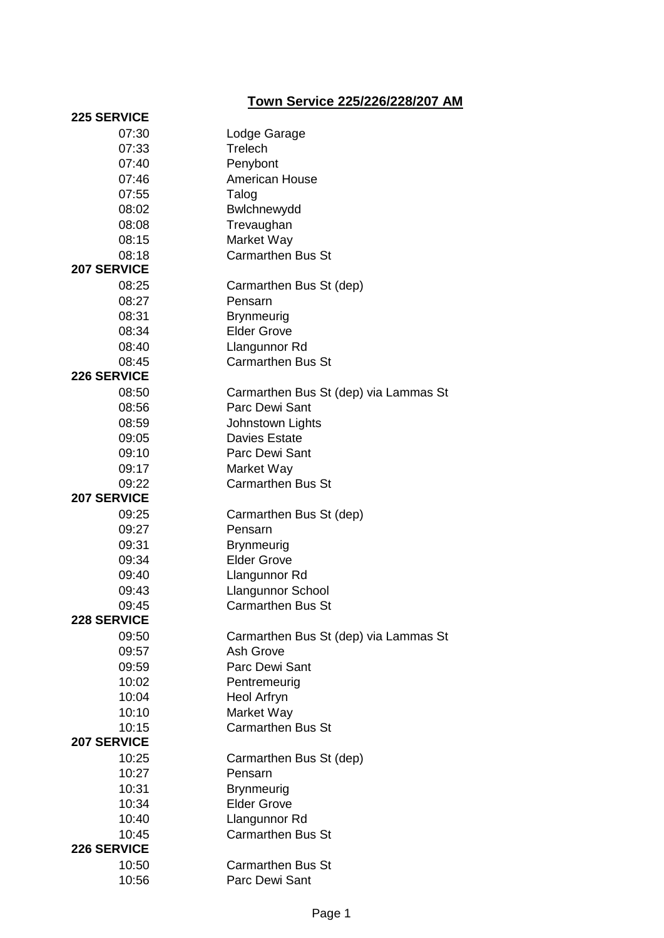## **Town Service 225/226/228/207 AM**

| <b>225 SERVICE</b> |                                       |
|--------------------|---------------------------------------|
| 07:30              | Lodge Garage                          |
| 07:33              | Trelech                               |
| 07:40              | Penybont                              |
| 07:46              | American House                        |
| 07:55              | Talog                                 |
| 08:02              | Bwlchnewydd                           |
| 08:08              | Trevaughan                            |
| 08:15              | Market Way                            |
| 08:18              | <b>Carmarthen Bus St</b>              |
| <b>207 SERVICE</b> |                                       |
| 08:25              | Carmarthen Bus St (dep)               |
| 08:27              | Pensarn                               |
| 08:31              | <b>Brynmeurig</b>                     |
| 08:34              | <b>Elder Grove</b>                    |
| 08:40              | Llangunnor Rd                         |
| 08:45              | <b>Carmarthen Bus St</b>              |
| <b>226 SERVICE</b> |                                       |
| 08:50              | Carmarthen Bus St (dep) via Lammas St |
| 08:56              | Parc Dewi Sant                        |
| 08:59              | Johnstown Lights                      |
| 09:05              | <b>Davies Estate</b>                  |
| 09:10              | Parc Dewi Sant                        |
| 09:17              | Market Way                            |
| 09:22              | <b>Carmarthen Bus St</b>              |
| <b>207 SERVICE</b> |                                       |
| 09:25              | Carmarthen Bus St (dep)               |
| 09:27              | Pensarn                               |
| 09:31              | <b>Brynmeurig</b>                     |
| 09:34              | <b>Elder Grove</b>                    |
| 09:40              | Llangunnor Rd                         |
| 09:43              | Llangunnor School                     |
| 09:45              | <b>Carmarthen Bus St</b>              |
| <b>228 SERVICE</b> |                                       |
| 09:50              | Carmarthen Bus St (dep) via Lammas St |
| 09:57              | Ash Grove                             |
| 09:59              | Parc Dewi Sant                        |
| 10:02              | Pentremeurig                          |
| 10:04              | Heol Arfryn                           |
| 10:10              | Market Way                            |
| 10:15              | <b>Carmarthen Bus St</b>              |
| <b>207 SERVICE</b> |                                       |
| 10:25              | Carmarthen Bus St (dep)               |
| 10:27              | Pensarn                               |
| 10:31              | <b>Brynmeurig</b>                     |
| 10:34              | <b>Elder Grove</b>                    |
| 10:40              | Llangunnor Rd                         |
| 10:45              | <b>Carmarthen Bus St</b>              |
| <b>226 SERVICE</b> |                                       |
| 10:50              | <b>Carmarthen Bus St</b>              |
| 10:56              | Parc Dewi Sant                        |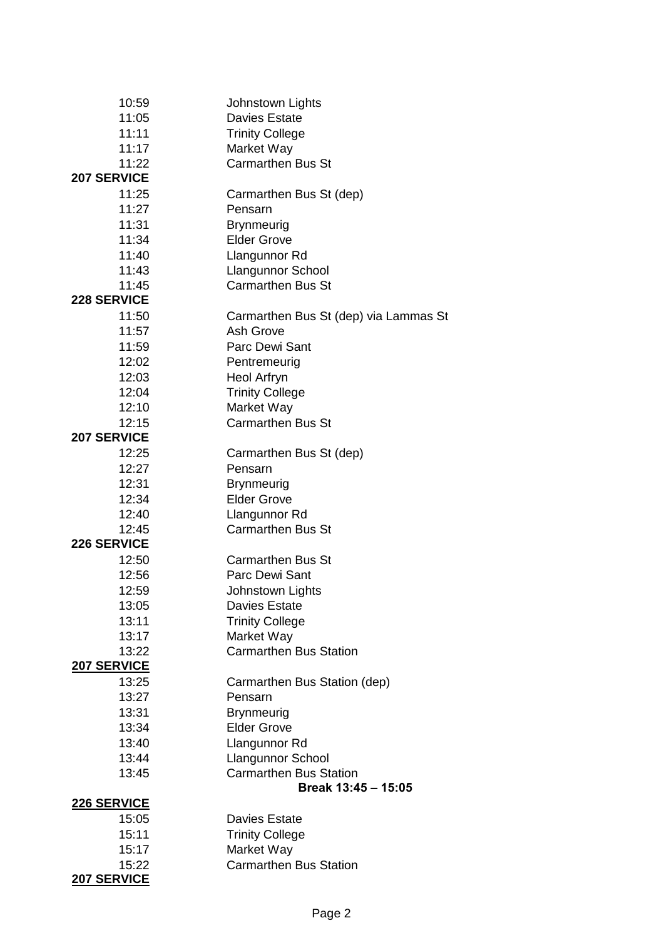| 10:59              | Johnstown Lights                                          |
|--------------------|-----------------------------------------------------------|
| 11:05              | <b>Davies Estate</b>                                      |
| 11:11              | <b>Trinity College</b>                                    |
| 11:17              | Market Way                                                |
| 11:22              | <b>Carmarthen Bus St</b>                                  |
| <b>207 SERVICE</b> |                                                           |
| 11:25              | Carmarthen Bus St (dep)                                   |
| 11:27              | Pensarn                                                   |
| 11:31              | <b>Brynmeurig</b>                                         |
| 11:34              | <b>Elder Grove</b>                                        |
| 11:40              | Llangunnor Rd                                             |
| 11:43              | <b>Llangunnor School</b>                                  |
| 11:45              | <b>Carmarthen Bus St</b>                                  |
| <b>228 SERVICE</b> |                                                           |
| 11:50              | Carmarthen Bus St (dep) via Lammas St                     |
| 11:57              | Ash Grove                                                 |
| 11:59              | Parc Dewi Sant                                            |
| 12:02              | Pentremeurig                                              |
| 12:03              | Heol Arfryn                                               |
| 12:04              | <b>Trinity College</b>                                    |
| 12:10              | Market Way                                                |
| 12:15              | <b>Carmarthen Bus St</b>                                  |
| <b>207 SERVICE</b> |                                                           |
| 12:25              | Carmarthen Bus St (dep)                                   |
| 12:27              | Pensarn                                                   |
| 12:31              | <b>Brynmeurig</b>                                         |
| 12:34              | <b>Elder Grove</b>                                        |
| 12:40              | Llangunnor Rd                                             |
| 12:45              | <b>Carmarthen Bus St</b>                                  |
| <b>226 SERVICE</b> |                                                           |
| 12:50              | <b>Carmarthen Bus St</b>                                  |
| 12:56              | Parc Dewi Sant                                            |
| 12:59              | Johnstown Lights                                          |
| 13:05              | <b>Davies Estate</b>                                      |
| 13:11              | <b>Trinity College</b>                                    |
| 13:17              | Market Way                                                |
| 13:22              | <b>Carmarthen Bus Station</b>                             |
| <b>207 SERVICE</b> |                                                           |
| 13:25              | Carmarthen Bus Station (dep)                              |
| 13:27<br>13:31     | Pensarn                                                   |
|                    | <b>Brynmeurig</b><br><b>Elder Grove</b>                   |
| 13:34              |                                                           |
| 13:40              | Llangunnor Rd                                             |
| 13:44              | <b>Llangunnor School</b><br><b>Carmarthen Bus Station</b> |
| 13:45              | Break 13:45 - 15:05                                       |
| <b>226 SERVICE</b> |                                                           |
| 15:05              | <b>Davies Estate</b>                                      |
| 15:11              | <b>Trinity College</b>                                    |
| 15:17              | Market Way                                                |
| 15:22              | <b>Carmarthen Bus Station</b>                             |
| <b>207 SERVICE</b> |                                                           |
|                    |                                                           |